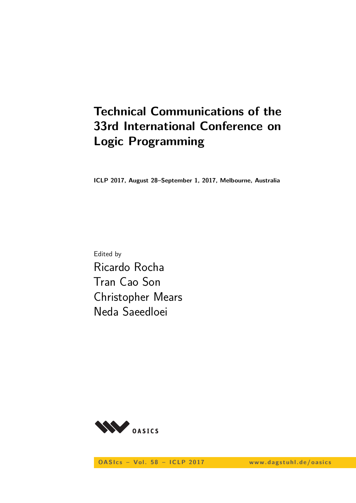# **Technical Communications of the 33rd International Conference on Logic Programming**

**ICLP 2017, August 28–September 1, 2017, Melbourne, Australia**

Edited by Ricardo Rocha Tran Cao Son Christopher Mears Neda Saeedloei



**OASIcs - Vol. 58 - ICLP 2017** www.dagstuhl.de/oasics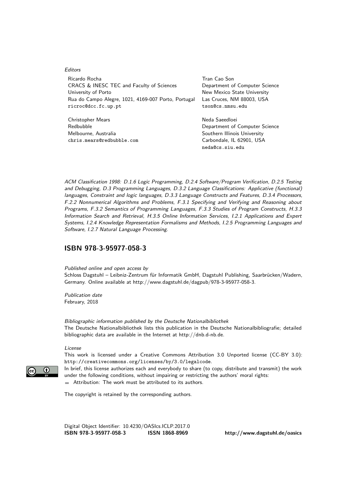#### Editors

Ricardo Rocha **Tran Cao Son** CRACS & INESC TEC and Faculty of Sciences Department of Computer Science University of Porto **New Mexico State University** Rua do Campo Alegre, 1021, 4169-007 Porto, Portugal Las Cruces, NM 88003, USA ricroc@dcc.fc.up.pt tson@cs.nmsu.edu

Christopher Mears Neda Saeedloei Melbourne, Australia Southern Illinois University chris.mears@redbubble.com Carbondale, IL 62901, USA

Redbubble **Department of Computer Science** neda@cs.siu.edu

ACM Classification 1998: D.1.6 Logic Programming, D.2.4 Software/Program Verification, D.2.5 Testing and Debugging, D.3 Programming Languages, D.3.2 Language Classifications: Applicative (functional) languages, Constraint and logic languages, D.3.3 Language Constructs and Features, D.3.4 Processors, F.2.2 Nonnumerical Algorithms and Problems, F.3.1 Specifying and Verifying and Reasoning about Programs, F.3.2 Semantics of Programming Languages, F.3.3 Studies of Program Constructs, H.3.3 Information Search and Retrieval, H.3.5 Online Information Services, I.2.1 Applications and Expert Systems, I.2.4 Knowledge Representation Formalisms and Methods, I.2.5 Programming Languages and Software, I.2.7 Natural Language Processing.

### **[ISBN 978-3-95977-058-3](http://www.dagstuhl.de/dagpub/978-3-95977-058-3)**

Published online and open access by

Schloss Dagstuhl – Leibniz-Zentrum für Informatik GmbH, Dagstuhl Publishing, Saarbrücken/Wadern, Germany. Online available at [http://www.dagstuhl.de/dagpub/978-3-95977-058-3.](http://www.dagstuhl.de/dagpub/978-3-95977-058-3)

Publication date February, 2018

Bibliographic information published by the Deutsche Nationalbibliothek The Deutsche Nationalbibliothek lists this publication in the Deutsche Nationalbibliografie; detailed bibliographic data are available in the Internet at [http://dnb.d-nb.de.](http://dnb.d-nb.de)

License

This work is licensed under a Creative Commons Attribution 3.0 Unported license (CC-BY 3.0): http://creativecommons.org/licenses/by/3.0/legalcode.

In brief, this license authorizes each and everybody to share (to copy, distribute and transmit) the work under the following conditions, without impairing or restricting the authors' moral rights: Attribution: The work must be attributed to its authors.

The copyright is retained by the corresponding authors.

Digital Object Identifier: [10.4230/OASIcs.ICLP.2017.0](http://dx.doi.org/10.4230/OASIcs.ICLP.2017.0) **[ISBN 978-3-95977-058-3](http://www.dagstuhl.de/dagpub/978-3-95977-058-3) [ISSN 1868-8969](http://drops.dagstuhl.de/oasics)<http://www.dagstuhl.de/oasics>**

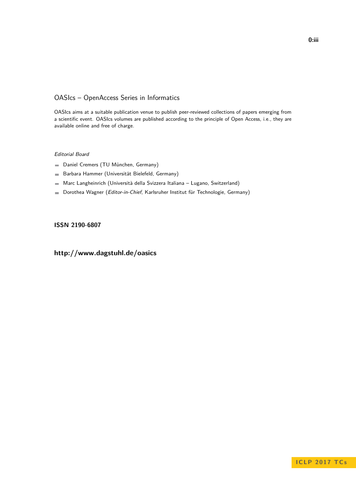## OASIcs – OpenAccess Series in Informatics

OASIcs aims at a suitable publication venue to publish peer-reviewed collections of papers emerging from a scientific event. OASIcs volumes are published according to the principle of Open Access, i.e., they are available online and free of charge.

### Editorial Board

- Daniel Cremers (TU München, Germany)
- Barbara Hammer (Universität Bielefeld, Germany)  $\frac{1}{2}$
- Marc Langheinrich (Università della Svizzera Italiana Lugano, Switzerland)
- Dorothea Wagner (Editor-in-Chief, Karlsruher Institut für Technologie, Germany)  $\blacksquare$

### **[ISSN 2190-6807](http://www.dagstuhl.de/dagpub/2190-6807)**

## **<http://www.dagstuhl.de/oasics>**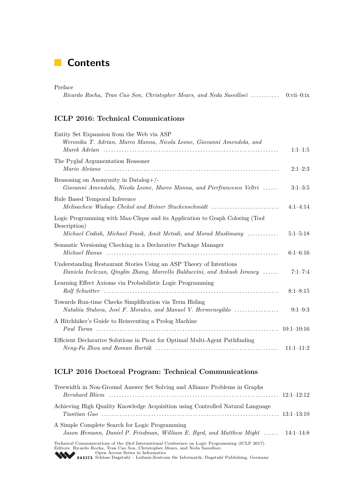## **Contents**

| Preface |  |  |  |                                                                                |  |
|---------|--|--|--|--------------------------------------------------------------------------------|--|
|         |  |  |  | Ricardo Rocha, Tran Cao Son, Christopher Mears, and Neda Saeedloei  0:vii–0:ix |  |

## **ICLP 2016: Technical Comunications**

| Entity Set Expansion from the Web via ASP<br>Weronika T. Adrian, Marco Manna, Nicola Leone, Giovanni Amendola, and                                               | $1:1-1:5$    |
|------------------------------------------------------------------------------------------------------------------------------------------------------------------|--------------|
| The Pyglaf Argumentation Reasoner                                                                                                                                | $2:1-2:3$    |
| Reasoning on Anonymity in Datalog+/-<br>Giovanni Amendola, Nicola Leone, Marco Manna, and Pierfrancesco Veltri                                                   | $3:1-3:5$    |
| Rule Based Temporal Inference<br>Melisachew Wudage Chekol and Heiner Stuckenschmidt                                                                              | $4:1-4:14$   |
| Logic Programming with Max-Clique and its Application to Graph Coloring (Tool<br>Description)<br>Michael Codish, Michael Frank, Amit Metodi, and Morad Muslimany | $5:1 - 5:18$ |
| Semantic Versioning Checking in a Declarative Package Manager                                                                                                    | $6:1 - 6:16$ |
| Understanding Restaurant Stories Using an ASP Theory of Intentions<br>Daniela Inclezan, Qinglin Zhang, Marcello Balduccini, and Ankush Israney                   | $7:1 - 7:4$  |
| Learning Effect Axioms via Probabilistic Logic Programming                                                                                                       | $8:1 - 8:15$ |
| Towards Run-time Checks Simplification via Term Hiding<br>Nataliia Stulova, José F. Morales, and Manuel V. Hermenegildo                                          | $9:1 - 9:3$  |
| A Hitchhiker's Guide to Reinventing a Prolog Machine                                                                                                             |              |
| Efficient Declarative Solutions in Picat for Optimal Multi-Agent Pathfinding                                                                                     | $11:1-11:2$  |

## **ICLP 2016 Doctoral Program: Technical Communications**

| Treewidth in Non-Ground Answer Set Solving and Alliance Problems in Graphs                                                                                                     |  |
|--------------------------------------------------------------------------------------------------------------------------------------------------------------------------------|--|
|                                                                                                                                                                                |  |
| Achieving High Quality Knowledge Acquisition using Controlled Natural Language                                                                                                 |  |
|                                                                                                                                                                                |  |
| A Simple Complete Search for Logic Programming                                                                                                                                 |  |
| Jason Hemann, Daniel P. Friedman, William E. Byrd, and Matthew Might  14:1-14:8                                                                                                |  |
| Technical Communications of the 33rd International Conference on Logic Programming (ICLP 2017).<br>Editors: Ricardo Rocha, Tran Cao Son, Christopher Mears, and Neda Saeedloei |  |
| Open Access Series in Informatics<br><b>OASICS</b> Schloss Dagstuhl – Leibniz-Zentrum für Informatik, Dagstuhl Publishing, Germany                                             |  |
|                                                                                                                                                                                |  |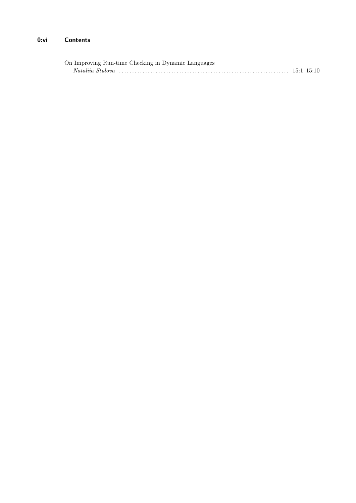#### $0:vi$ **Contents**

| On Improving Run-time Checking in Dynamic Languages |  |
|-----------------------------------------------------|--|
|                                                     |  |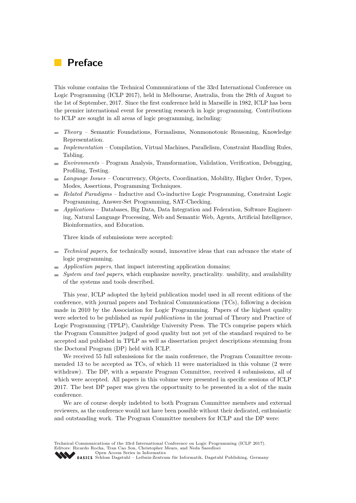## **Preface**

This volume contains the Technical Communications of the 33rd International Conference on Logic Programming (ICLP 2017), held in Melbourne, Australia, from the 28th of August to the 1st of September, 2017. Since the first conference held in Marseille in 1982, ICLP has been the premier international event for presenting research in logic programming. Contributions to ICLP are sought in all areas of logic programming, including:

- *Theory* Semantic Foundations, Formalisms, Nonmonotonic Reasoning, Knowledge  $\sim$ Representation.
- *Implementation* Compilation, Virtual Machines, Parallelism, Constraint Handling Rules,  $\frac{1}{2}$ Tabling.
- *Environments* Program Analysis, Transformation, Validation, Verification, Debugging, Profiling, Testing.
- *Language Issues* Concurrency, Objects, Coordination, Mobility, Higher Order, Types, Modes, Assertions, Programming Techniques.
- *Related Paradigms* Inductive and Co-inductive Logic Programming, Constraint Logic  $\overline{\phantom{a}}$ Programming, Answer-Set Programming, SAT-Checking.
- *Applications* Databases, Big Data, Data Integration and Federation, Software Engineering, Natural Language Processing, Web and Semantic Web, Agents, Artificial Intelligence, Bioinformatics, and Education.

Three kinds of submissions were accepted:

- *Technical papers*, for technically sound, innovative ideas that can advance the state of logic programming.
- *Application papers*, that impact interesting application domains;
- *System and tool papers*, which emphasize novelty, practicality. usability, and availability of the systems and tools described.

This year, ICLP adopted the hybrid publication model used in all recent editions of the conference, with journal papers and Technical Communications (TCs), following a decision made in 2010 by the Association for Logic Programming. Papers of the highest quality were selected to be published as *rapid publications* in the journal of Theory and Practice of Logic Programming (TPLP), Cambridge University Press. The TCs comprise papers which the Program Committee judged of good quality but not yet of the standard required to be accepted and published in TPLP as well as dissertation project descriptions stemming from the Doctoral Program (DP) held with ICLP.

We received 55 full submissions for the main conference, the Program Committee recommended 13 to be accepted as TCs, of which 11 were materialized in this volume (2 were withdraw). The DP, with a separate Program Committee, received 4 submissions, all of which were accepted. All papers in this volume were presented in specific sessions of ICLP 2017. The best DP paper was given the opportunity to be presented in a slot of the main conference.

We are of course deeply indebted to both Program Committee members and external reviewers, as the conference would not have been possible without their dedicated, enthusiastic and outstanding work. The Program Committee members for ICLP and the DP were:

Technical Communications of the 33rd International Conference on Logic Programming (ICLP 2017). Editors: Ricardo Rocha, Tran Cao Son, Christopher Mears, and Neda Saeedloei [Open Access Series in Informatics](http://www.dagstuhl.de/en/publications/oasics/) Open Access Schlos III Hormannen für Informatik, Dagstuhl Publishing, Germany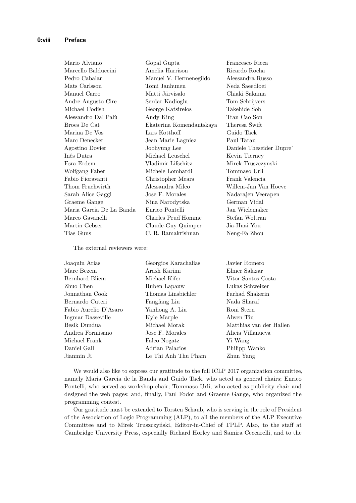| Mario Alviano            | Gopal Gupta              | Francesco Ricca          |
|--------------------------|--------------------------|--------------------------|
| Marcello Balduccini      | Amelia Harrison          | Ricardo Rocha            |
| Pedro Cabalar            | Manuel V. Hermenegildo   | Alessandra Russo         |
| Mats Carlsson            | Tomi Janhunen            | Neda Saeedloei           |
| Manuel Carro             | Matti Järvisalo          | Chiaki Sakama            |
| Andre Augusto Cire       | Serdar Kadioglu          | Tom Schrijvers           |
| Michael Codish           | George Katsirelos        | Takehide Soh             |
| Alessandro Dal Palù      | Andy King                | Tran Cao Son             |
| Broes De Cat             | Ekaterina Komendantskaya | Theresa Swift            |
| Marina De Vos            | Lars Kotthoff            | Guido Tack               |
| Marc Denecker            | Jean Marie Lagniez       | Paul Tarau               |
| Agostino Dovier          | Joohyung Lee             | Daniele Theseider Dupre' |
| Inês Dutra               | Michael Leuschel         | Kevin Tierney            |
| Esra Erdem               | Vladimir Lifschitz       | Mirek Truszczynski       |
| Wolfgang Faber           | Michele Lombardi         | Tommaso Urli             |
| Fabio Fioravanti         | Christopher Mears        | Frank Valencia           |
| Thom Fruehwirth          | Alessandra Mileo         | Willem-Jan Van Hoeve     |
| Sarah Alice Gaggl        | Jose F. Morales          | Nadarajen Veerapen       |
| Graeme Gange             | Nina Narodytska          | German Vidal             |
| Maria Garcia De La Banda | Enrico Pontelli          | Jan Wielemaker           |
| Marco Gavanelli          | Charles Prud'Homme       | Stefan Woltran           |
| Martin Gebser            | Claude-Guy Quimper       | Jia-Huai You             |
| Tias Guns                | C. R. Ramakrishnan       | Neng-Fa Zhou             |

The external reviewers were:

| Joaquin Arias         | Georgios Karachalias | Javier Romero           |
|-----------------------|----------------------|-------------------------|
| Marc Bezem            | Arash Karimi         | Elmer Salazar           |
| Bernhard Bliem        | Michael Kifer        | Vitor Santos Costa      |
| Zhuo Chen             | Ruben Lapauw         | Lukas Schweizer         |
| Jonnathan Cook        | Thomas Linsbichler   | Farhad Shakerin         |
| Bernardo Cuteri       | Fangfang Liu         | Nada Sharaf             |
| Fabio Aurelio D'Asaro | Yanhong A. Liu       | Roni Stern              |
| Ingmar Dasseville     | Kyle Marple          | Alwen Tiu               |
| Besik Dundua          | Michael Morak        | Matthias van der Hallen |
| Andrea Formisano      | Jose F. Morales      | Alicia Villanueva       |
| Michael Frank         | Falco Nogatz         | Yi Wang                 |
| Daniel Gall           | Adrian Palacios      | Philipp Wanko           |
| Jianmin Ji            | Le Thi Anh Thu Pham  | Zhun Yang               |

We would also like to express our gratitude to the full ICLP 2017 organization committee, namely Maria Garcia de la Banda and Guido Tack, who acted as general chairs; Enrico Pontelli, who served as workshop chair; Tommaso Urli, who acted as publicity chair and designed the web pages; and, finally, Paul Fodor and Graeme Gange, who organized the programming contest.

Our gratitude must be extended to Torsten Schaub, who is serving in the role of President of the Association of Logic Programming (ALP), to all the members of the ALP Executive Committee and to Mirek Truszczyński, Editor-in-Chief of TPLP. Also, to the staff at Cambridge University Press, especially Richard Horley and Samira Ceccarelli, and to the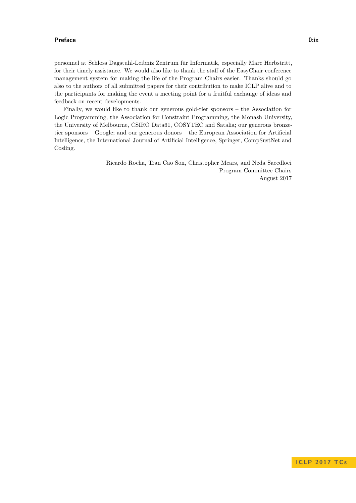#### **Preface 0:ix**

personnel at Schloss Dagstuhl-Leibniz Zentrum für Informatik, especially Marc Herbstritt, for their timely assistance. We would also like to thank the staff of the EasyChair conference management system for making the life of the Program Chairs easier. Thanks should go also to the authors of all submitted papers for their contribution to make ICLP alive and to the participants for making the event a meeting point for a fruitful exchange of ideas and feedback on recent developments.

Finally, we would like to thank our generous gold-tier sponsors – the Association for Logic Programming, the Association for Constraint Programming, the Monash University, the University of Melbourne, CSIRO Data61, COSYTEC and Satalia; our generous bronzetier sponsors – Google; and our generous donors – the European Association for Artificial Intelligence, the International Journal of Artificial Intelligence, Springer, CompSustNet and Cosling.

> Ricardo Rocha, Tran Cao Son, Christopher Mears, and Neda Saeedloei Program Committee Chairs August 2017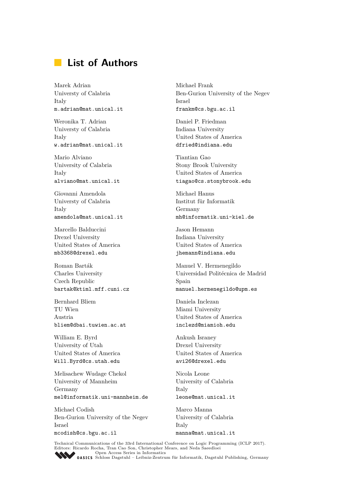## **List of Authors**

Marek Adrian Universty of Calabria Italy m.adrian@mat.unical.it

Weronika T. Adrian Universty of Calabria Italy w.adrian@mat.unical.it

Mario Alviano University of Calabria Italy alviano@mat.unical.it

Giovanni Amendola Universty of Calabria Italy amendola@mat.unical.it

Marcello Balduccini Drexel University United States of America mb3368@drexel.edu

Roman Barták Charles University Czech Republic bartak@ktiml.mff.cuni.cz

Bernhard Bliem TU Wien Austria bliem@dbai.tuwien.ac.at

William E. Byrd University of Utah United States of America Will.Byrd@cs.utah.edu

Melisachew Wudage Chekol University of Mannheim Germany mel@informatik.uni-mannheim.de

Michael Codish Ben-Gurion University of the Negev Israel mcodish@cs.bgu.ac.il

Michael Frank Ben-Gurion University of the Negev Israel frankm@cs.bgu.ac.il

Daniel P. Friedman Indiana University United States of America dfried@indiana.edu

Tiantian Gao Stony Brook University United States of America tiagao@cs.stonybrook.edu

Michael Hanus Institut für Informatik Germany mh@informatik.uni-kiel.de

Jason Hemann Indiana University United States of America jhemann@indiana.edu

Manuel V. Hermenegildo Universidad Politécnica de Madrid Spain manuel.hermenegildo@upm.es

Daniela Inclezan Miami University United States of America inclezd@miamioh.edu

Ankush Israney Drexel University United States of America avi26@drexel.edu

Nicola Leone University of Calabria Italy leone@mat.unical.it

Marco Manna University of Calabria Italy manna@mat.unical.it

Technical Communications of the 33rd International Conference on Logic Programming (ICLP 2017).<br>Editors: Ricardo Rocha, Tran Cao Son, Christopher Mears, and Neda Saeedloei<br> [Open Access Series in Informatics](http://www.dagstuhl.de/en/publications/oasics/)<br> **OASICS** Schlo